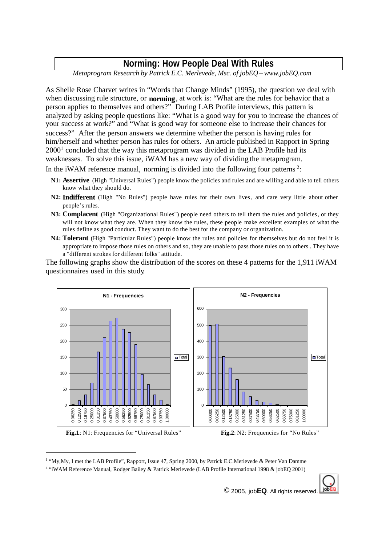## **Norming: How People Deal With Rules**

*Metaprogram Research by Patrick E.C. Merlevede, Msc. of jobEQ – www.jobEQ.com*

As Shelle Rose Charvet writes in "Words that Change Minds" (1995), the question we deal with when discussing rule structure, or **norming**, at work is: "What are the rules for behavior that a person applies to themselves and others?" During LAB Profile interviews, this pattern is analyzed by asking people questions like: "What is a good way for you to increase the chances of your success at work?" and "What is good way for someone else to increase their chances for success?" After the person answers we determine whether the person is having rules for him/herself and whether person has rules for others. An article published in Rapport in Spring  $2000<sup>1</sup>$  concluded that the way this metaprogram was divided in the LAB Profile had its weaknesses. To solve this issue, iWAM has a new way of dividing the metaprogram.

In the iWAM reference manual, norming is divided into the following four patterns<sup>2</sup>:

- **N1: Assertive** (High "Universal Rules") people know the policies and rules and are willing and able to tell others know what they should do.
- **N2: Indifferent** (High "No Rules") people have rules for their own lives, and care very little about other people's rules.
- **N3: Complacent** (High "Organizational Rules") people need others to tell them the rules and policies, or they will not know what they are. When they know the rules, these people make excellent examples of what the rules define as good conduct. They want to do the best for the company or organization.
- **N4: Tolerant** (High "Particular Rules") people know the rules and policies for themselves but do not feel it is appropriate to impose those rules on others and so, they are unable to pass those rules on to others . They have a "different strokes for different folks" attitude.

The following graphs show the distribution of the scores on these 4 patterns for the 1,911 iWAM questionnaires used in this study.



<sup>1</sup> "My, My, I met the LAB Profile", Rapport, Issue 47, Spring 2000, by Patrick E.C.Merlevede & Peter Van Damme

l